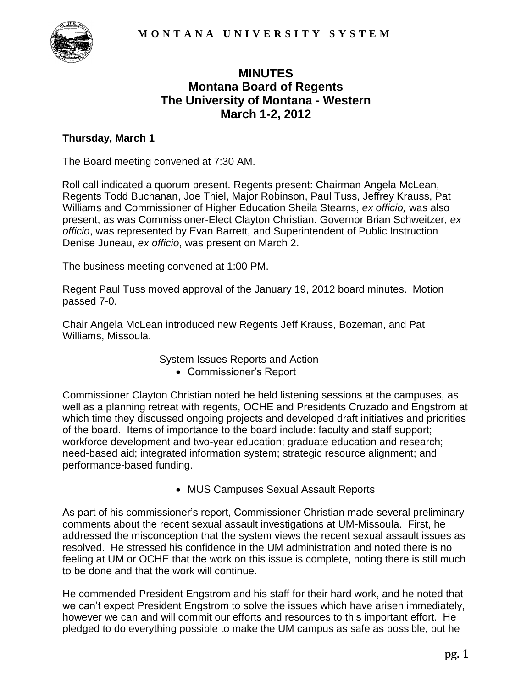

# **MINUTES Montana Board of Regents The University of Montana - Western March 1-2, 2012**

## **Thursday, March 1**

The Board meeting convened at 7:30 AM.

Roll call indicated a quorum present. Regents present: Chairman Angela McLean, Regents Todd Buchanan, Joe Thiel, Major Robinson, Paul Tuss, Jeffrey Krauss, Pat Williams and Commissioner of Higher Education Sheila Stearns, *ex officio,* was also present, as was Commissioner-Elect Clayton Christian. Governor Brian Schweitzer, *ex officio*, was represented by Evan Barrett, and Superintendent of Public Instruction Denise Juneau, *ex officio*, was present on March 2.

The business meeting convened at 1:00 PM.

Regent Paul Tuss moved approval of the January 19, 2012 board minutes. Motion passed 7-0.

Chair Angela McLean introduced new Regents Jeff Krauss, Bozeman, and Pat Williams, Missoula.

> System Issues Reports and Action Commissioner's Report

Commissioner Clayton Christian noted he held listening sessions at the campuses, as well as a planning retreat with regents, OCHE and Presidents Cruzado and Engstrom at which time they discussed ongoing projects and developed draft initiatives and priorities of the board. Items of importance to the board include: faculty and staff support; workforce development and two-year education; graduate education and research; need-based aid; integrated information system; strategic resource alignment; and performance-based funding.

• MUS Campuses Sexual Assault Reports

As part of his commissioner's report, Commissioner Christian made several preliminary comments about the recent sexual assault investigations at UM-Missoula. First, he addressed the misconception that the system views the recent sexual assault issues as resolved. He stressed his confidence in the UM administration and noted there is no feeling at UM or OCHE that the work on this issue is complete, noting there is still much to be done and that the work will continue.

He commended President Engstrom and his staff for their hard work, and he noted that we can't expect President Engstrom to solve the issues which have arisen immediately, however we can and will commit our efforts and resources to this important effort. He pledged to do everything possible to make the UM campus as safe as possible, but he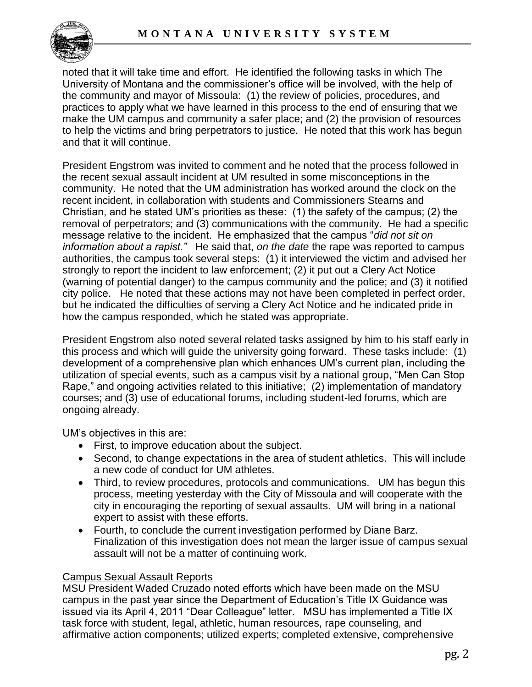

noted that it will take time and effort. He identified the following tasks in which The University of Montana and the commissioner's office will be involved, with the help of the community and mayor of Missoula: (1) the review of policies, procedures, and practices to apply what we have learned in this process to the end of ensuring that we make the UM campus and community a safer place; and (2) the provision of resources to help the victims and bring perpetrators to justice. He noted that this work has begun and that it will continue.

President Engstrom was invited to comment and he noted that the process followed in the recent sexual assault incident at UM resulted in some misconceptions in the community. He noted that the UM administration has worked around the clock on the recent incident, in collaboration with students and Commissioners Stearns and Christian, and he stated UM's priorities as these: (1) the safety of the campus; (2) the removal of perpetrators; and (3) communications with the community. He had a specific message relative to the incident. He emphasized that the campus "*did not sit on information about a rapist."* He said that, *on the date* the rape was reported to campus authorities, the campus took several steps: (1) it interviewed the victim and advised her strongly to report the incident to law enforcement; (2) it put out a Clery Act Notice (warning of potential danger) to the campus community and the police; and (3) it notified city police. He noted that these actions may not have been completed in perfect order, but he indicated the difficulties of serving a Clery Act Notice and he indicated pride in how the campus responded, which he stated was appropriate.

President Engstrom also noted several related tasks assigned by him to his staff early in this process and which will guide the university going forward. These tasks include: (1) development of a comprehensive plan which enhances UM's current plan, including the utilization of special events, such as a campus visit by a national group, "Men Can Stop Rape," and ongoing activities related to this initiative; (2) implementation of mandatory courses; and (3) use of educational forums, including student-led forums, which are ongoing already.

UM's objectives in this are:

- First, to improve education about the subject.
- Second, to change expectations in the area of student athletics. This will include a new code of conduct for UM athletes.
- Third, to review procedures, protocols and communications. UM has begun this process, meeting yesterday with the City of Missoula and will cooperate with the city in encouraging the reporting of sexual assaults. UM will bring in a national expert to assist with these efforts.
- Fourth, to conclude the current investigation performed by Diane Barz. Finalization of this investigation does not mean the larger issue of campus sexual assault will not be a matter of continuing work.

### Campus Sexual Assault Reports

MSU President Waded Cruzado noted efforts which have been made on the MSU campus in the past year since the Department of Education's Title IX Guidance was issued via its April 4, 2011 "Dear Colleague" letter. MSU has implemented a Title IX task force with student, legal, athletic, human resources, rape counseling, and affirmative action components; utilized experts; completed extensive, comprehensive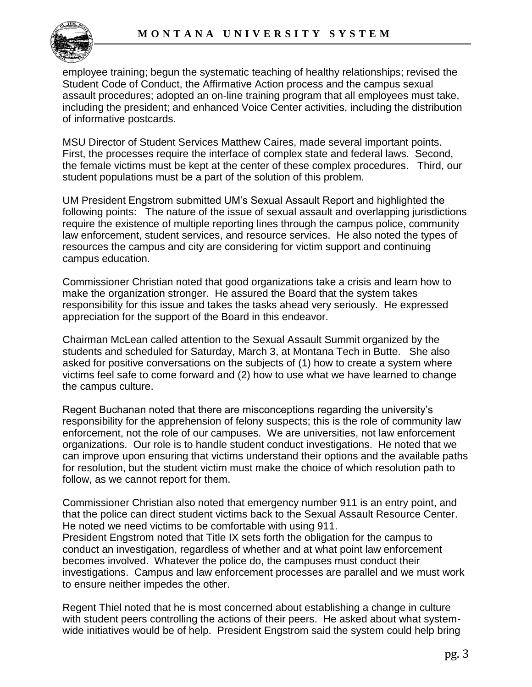employee training; begun the systematic teaching of healthy relationships; revised the Student Code of Conduct, the Affirmative Action process and the campus sexual assault procedures; adopted an on-line training program that all employees must take, including the president; and enhanced Voice Center activities, including the distribution of informative postcards.

MSU Director of Student Services Matthew Caires, made several important points. First, the processes require the interface of complex state and federal laws. Second, the female victims must be kept at the center of these complex procedures. Third, our student populations must be a part of the solution of this problem.

UM President Engstrom submitted UM's Sexual Assault Report and highlighted the following points: The nature of the issue of sexual assault and overlapping jurisdictions require the existence of multiple reporting lines through the campus police, community law enforcement, student services, and resource services. He also noted the types of resources the campus and city are considering for victim support and continuing campus education.

Commissioner Christian noted that good organizations take a crisis and learn how to make the organization stronger. He assured the Board that the system takes responsibility for this issue and takes the tasks ahead very seriously. He expressed appreciation for the support of the Board in this endeavor.

Chairman McLean called attention to the Sexual Assault Summit organized by the students and scheduled for Saturday, March 3, at Montana Tech in Butte. She also asked for positive conversations on the subjects of (1) how to create a system where victims feel safe to come forward and (2) how to use what we have learned to change the campus culture.

Regent Buchanan noted that there are misconceptions regarding the university's responsibility for the apprehension of felony suspects; this is the role of community law enforcement, not the role of our campuses. We are universities, not law enforcement organizations. Our role is to handle student conduct investigations. He noted that we can improve upon ensuring that victims understand their options and the available paths for resolution, but the student victim must make the choice of which resolution path to follow, as we cannot report for them.

Commissioner Christian also noted that emergency number 911 is an entry point, and that the police can direct student victims back to the Sexual Assault Resource Center. He noted we need victims to be comfortable with using 911.

President Engstrom noted that Title IX sets forth the obligation for the campus to conduct an investigation, regardless of whether and at what point law enforcement becomes involved. Whatever the police do, the campuses must conduct their investigations. Campus and law enforcement processes are parallel and we must work to ensure neither impedes the other.

Regent Thiel noted that he is most concerned about establishing a change in culture with student peers controlling the actions of their peers. He asked about what systemwide initiatives would be of help. President Engstrom said the system could help bring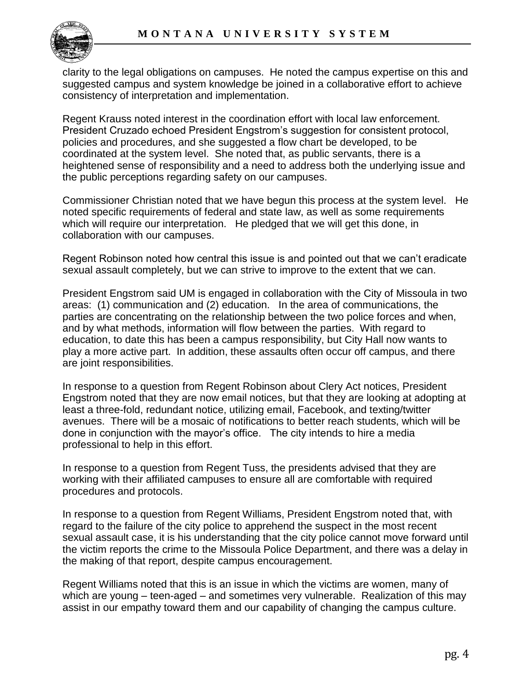

clarity to the legal obligations on campuses. He noted the campus expertise on this and suggested campus and system knowledge be joined in a collaborative effort to achieve consistency of interpretation and implementation.

Regent Krauss noted interest in the coordination effort with local law enforcement. President Cruzado echoed President Engstrom's suggestion for consistent protocol, policies and procedures, and she suggested a flow chart be developed, to be coordinated at the system level. She noted that, as public servants, there is a heightened sense of responsibility and a need to address both the underlying issue and the public perceptions regarding safety on our campuses.

Commissioner Christian noted that we have begun this process at the system level. He noted specific requirements of federal and state law, as well as some requirements which will require our interpretation. He pledged that we will get this done, in collaboration with our campuses.

Regent Robinson noted how central this issue is and pointed out that we can't eradicate sexual assault completely, but we can strive to improve to the extent that we can.

President Engstrom said UM is engaged in collaboration with the City of Missoula in two areas: (1) communication and (2) education. In the area of communications, the parties are concentrating on the relationship between the two police forces and when, and by what methods, information will flow between the parties. With regard to education, to date this has been a campus responsibility, but City Hall now wants to play a more active part. In addition, these assaults often occur off campus, and there are joint responsibilities.

In response to a question from Regent Robinson about Clery Act notices, President Engstrom noted that they are now email notices, but that they are looking at adopting at least a three-fold, redundant notice, utilizing email, Facebook, and texting/twitter avenues. There will be a mosaic of notifications to better reach students, which will be done in conjunction with the mayor's office. The city intends to hire a media professional to help in this effort.

In response to a question from Regent Tuss, the presidents advised that they are working with their affiliated campuses to ensure all are comfortable with required procedures and protocols.

In response to a question from Regent Williams, President Engstrom noted that, with regard to the failure of the city police to apprehend the suspect in the most recent sexual assault case, it is his understanding that the city police cannot move forward until the victim reports the crime to the Missoula Police Department, and there was a delay in the making of that report, despite campus encouragement.

Regent Williams noted that this is an issue in which the victims are women, many of which are young – teen-aged – and sometimes very vulnerable. Realization of this may assist in our empathy toward them and our capability of changing the campus culture.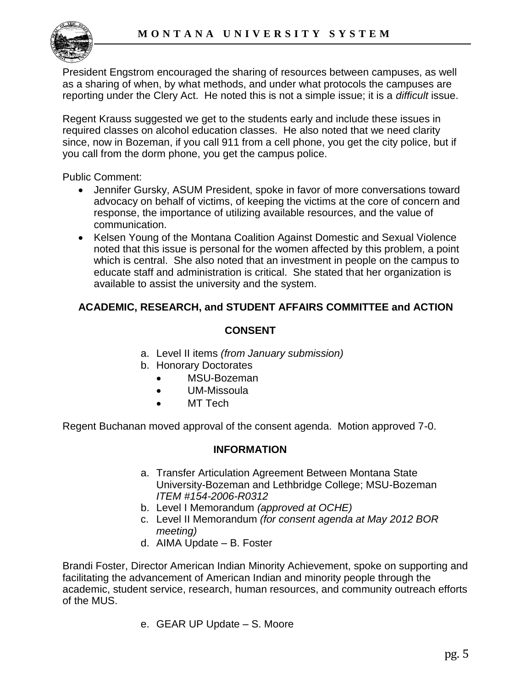

President Engstrom encouraged the sharing of resources between campuses, as well as a sharing of when, by what methods, and under what protocols the campuses are reporting under the Clery Act. He noted this is not a simple issue; it is a *difficult* issue.

Regent Krauss suggested we get to the students early and include these issues in required classes on alcohol education classes. He also noted that we need clarity since, now in Bozeman, if you call 911 from a cell phone, you get the city police, but if you call from the dorm phone, you get the campus police.

Public Comment:

- Jennifer Gursky, ASUM President, spoke in favor of more conversations toward advocacy on behalf of victims, of keeping the victims at the core of concern and response, the importance of utilizing available resources, and the value of communication.
- Kelsen Young of the Montana Coalition Against Domestic and Sexual Violence noted that this issue is personal for the women affected by this problem, a point which is central. She also noted that an investment in people on the campus to educate staff and administration is critical. She stated that her organization is available to assist the university and the system.

## **ACADEMIC, RESEARCH, and STUDENT AFFAIRS COMMITTEE and ACTION**

### **CONSENT**

- a. Level II items *(from January submission)*
- b. Honorary Doctorates
	- MSU-Bozeman
	- UM-Missoula
	- MT Tech

Regent Buchanan moved approval of the consent agenda. Motion approved 7-0.

### **INFORMATION**

- a. Transfer Articulation Agreement Between Montana State University-Bozeman and Lethbridge College; MSU-Bozeman *ITEM #154-2006-R0312*
- b. Level I Memorandum *(approved at OCHE)*
- c. Level II Memorandum *(for consent agenda at May 2012 BOR meeting)*
- d. AIMA Update B. Foster

Brandi Foster, Director American Indian Minority Achievement, spoke on supporting and facilitating the advancement of American Indian and minority people through the academic, student service, research, human resources, and community outreach efforts of the MUS.

e. GEAR UP Update – S. Moore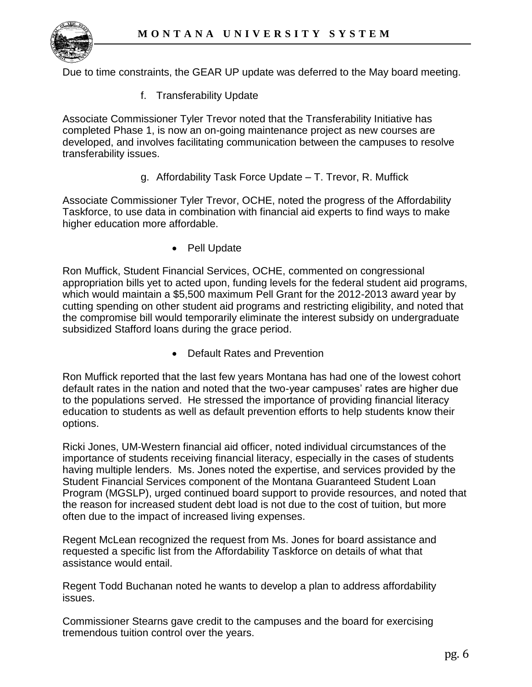

Due to time constraints, the GEAR UP update was deferred to the May board meeting.

f. Transferability Update

Associate Commissioner Tyler Trevor noted that the Transferability Initiative has completed Phase 1, is now an on-going maintenance project as new courses are developed, and involves facilitating communication between the campuses to resolve transferability issues.

g. Affordability Task Force Update – T. Trevor, R. Muffick

Associate Commissioner Tyler Trevor, OCHE, noted the progress of the Affordability Taskforce, to use data in combination with financial aid experts to find ways to make higher education more affordable.

• Pell Update

Ron Muffick, Student Financial Services, OCHE, commented on congressional appropriation bills yet to acted upon, funding levels for the federal student aid programs, which would maintain a \$5,500 maximum Pell Grant for the 2012-2013 award year by cutting spending on other student aid programs and restricting eligibility, and noted that the compromise bill would temporarily eliminate the interest subsidy on undergraduate subsidized Stafford loans during the grace period.

• Default Rates and Prevention

Ron Muffick reported that the last few years Montana has had one of the lowest cohort default rates in the nation and noted that the two-year campuses' rates are higher due to the populations served. He stressed the importance of providing financial literacy education to students as well as default prevention efforts to help students know their options.

Ricki Jones, UM-Western financial aid officer, noted individual circumstances of the importance of students receiving financial literacy, especially in the cases of students having multiple lenders. Ms. Jones noted the expertise, and services provided by the Student Financial Services component of the Montana Guaranteed Student Loan Program (MGSLP), urged continued board support to provide resources, and noted that the reason for increased student debt load is not due to the cost of tuition, but more often due to the impact of increased living expenses.

Regent McLean recognized the request from Ms. Jones for board assistance and requested a specific list from the Affordability Taskforce on details of what that assistance would entail.

Regent Todd Buchanan noted he wants to develop a plan to address affordability issues.

Commissioner Stearns gave credit to the campuses and the board for exercising tremendous tuition control over the years.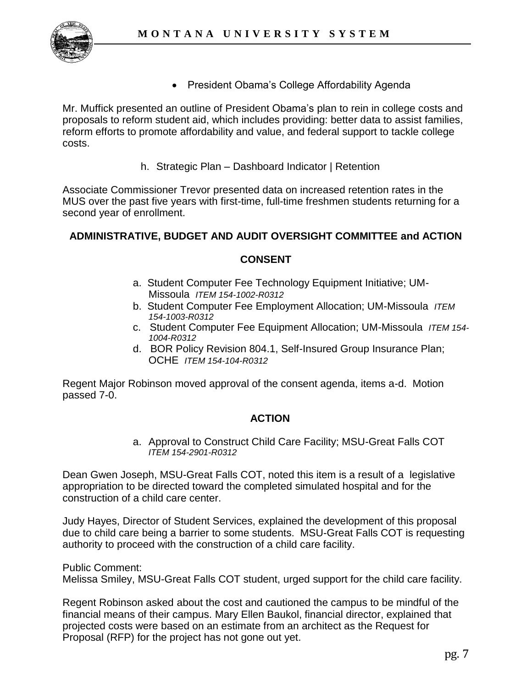

• President Obama's College Affordability Agenda

Mr. Muffick presented an outline of President Obama's plan to rein in college costs and proposals to reform student aid, which includes providing: better data to assist families, reform efforts to promote affordability and value, and federal support to tackle college costs.

h. Strategic Plan – Dashboard Indicator | Retention

Associate Commissioner Trevor presented data on increased retention rates in the MUS over the past five years with first-time, full-time freshmen students returning for a second year of enrollment.

## **ADMINISTRATIVE, BUDGET AND AUDIT OVERSIGHT COMMITTEE and ACTION**

### **CONSENT**

- a. Student Computer Fee Technology Equipment Initiative; UM-Missoula *ITEM 154-1002-R0312*
- b. Student Computer Fee Employment Allocation; UM-Missoula *ITEM 154-1003-R0312*
- c. Student Computer Fee Equipment Allocation; UM-Missoula *ITEM 154- 1004-R0312*
- d. BOR Policy Revision 804.1, Self-Insured Group Insurance Plan; OCHE *ITEM 154-104-R0312*

Regent Major Robinson moved approval of the consent agenda, items a-d. Motion passed 7-0.

### **ACTION**

a. Approval to Construct Child Care Facility; MSU-Great Falls COT *ITEM 154-2901-R0312*

Dean Gwen Joseph, MSU-Great Falls COT, noted this item is a result of a legislative appropriation to be directed toward the completed simulated hospital and for the construction of a child care center.

Judy Hayes, Director of Student Services, explained the development of this proposal due to child care being a barrier to some students. MSU-Great Falls COT is requesting authority to proceed with the construction of a child care facility.

Public Comment:

Melissa Smiley, MSU-Great Falls COT student, urged support for the child care facility.

Regent Robinson asked about the cost and cautioned the campus to be mindful of the financial means of their campus. Mary Ellen Baukol, financial director, explained that projected costs were based on an estimate from an architect as the Request for Proposal (RFP) for the project has not gone out yet.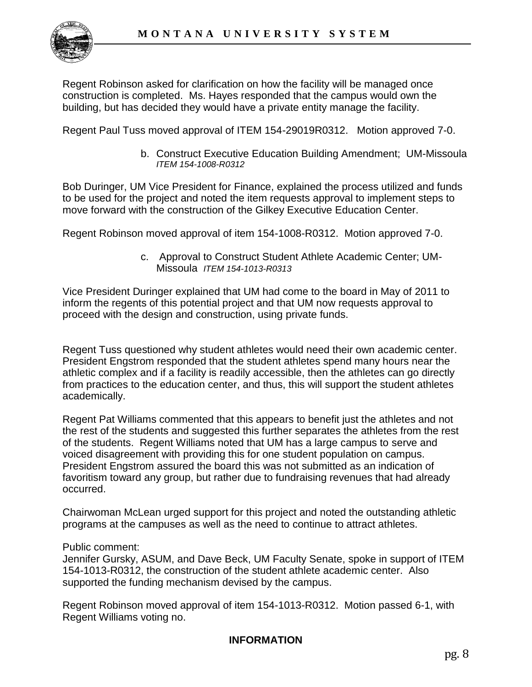

Regent Robinson asked for clarification on how the facility will be managed once construction is completed. Ms. Hayes responded that the campus would own the building, but has decided they would have a private entity manage the facility.

Regent Paul Tuss moved approval of ITEM 154-29019R0312. Motion approved 7-0.

b. Construct Executive Education Building Amendment; UM-Missoula *ITEM 154-1008-R0312* 

Bob Duringer, UM Vice President for Finance, explained the process utilized and funds to be used for the project and noted the item requests approval to implement steps to move forward with the construction of the Gilkey Executive Education Center.

Regent Robinson moved approval of item 154-1008-R0312. Motion approved 7-0.

c. Approval to Construct Student Athlete Academic Center; UM-Missoula *ITEM 154-1013-R0313*

Vice President Duringer explained that UM had come to the board in May of 2011 to inform the regents of this potential project and that UM now requests approval to proceed with the design and construction, using private funds.

Regent Tuss questioned why student athletes would need their own academic center. President Engstrom responded that the student athletes spend many hours near the athletic complex and if a facility is readily accessible, then the athletes can go directly from practices to the education center, and thus, this will support the student athletes academically.

Regent Pat Williams commented that this appears to benefit just the athletes and not the rest of the students and suggested this further separates the athletes from the rest of the students. Regent Williams noted that UM has a large campus to serve and voiced disagreement with providing this for one student population on campus. President Engstrom assured the board this was not submitted as an indication of favoritism toward any group, but rather due to fundraising revenues that had already occurred.

Chairwoman McLean urged support for this project and noted the outstanding athletic programs at the campuses as well as the need to continue to attract athletes.

#### Public comment:

Jennifer Gursky, ASUM, and Dave Beck, UM Faculty Senate, spoke in support of ITEM 154-1013-R0312, the construction of the student athlete academic center. Also supported the funding mechanism devised by the campus.

Regent Robinson moved approval of item 154-1013-R0312. Motion passed 6-1, with Regent Williams voting no.

### **INFORMATION**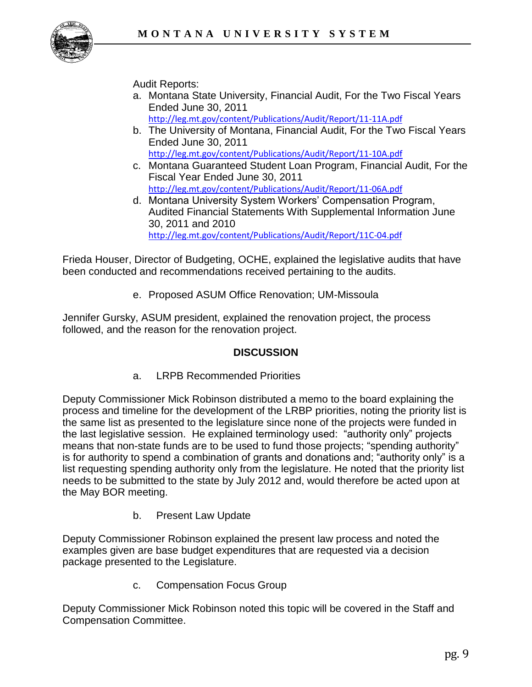

## Audit Reports:

- a. Montana State University, Financial Audit, For the Two Fiscal Years Ended June 30, 2011 <http://leg.mt.gov/content/Publications/Audit/Report/11-11A.pdf>
- b. The University of Montana, Financial Audit, For the Two Fiscal Years Ended June 30, 2011 <http://leg.mt.gov/content/Publications/Audit/Report/11-10A.pdf>
- c. Montana Guaranteed Student Loan Program, Financial Audit, For the Fiscal Year Ended June 30, 2011 <http://leg.mt.gov/content/Publications/Audit/Report/11-06A.pdf>
- d. Montana University System Workers' Compensation Program, Audited Financial Statements With Supplemental Information June 30, 2011 and 2010 <http://leg.mt.gov/content/Publications/Audit/Report/11C-04.pdf>

Frieda Houser, Director of Budgeting, OCHE, explained the legislative audits that have been conducted and recommendations received pertaining to the audits.

e. Proposed ASUM Office Renovation; UM-Missoula

Jennifer Gursky, ASUM president, explained the renovation project, the process followed, and the reason for the renovation project.

## **DISCUSSION**

a. LRPB Recommended Priorities

Deputy Commissioner Mick Robinson distributed a memo to the board explaining the process and timeline for the development of the LRBP priorities, noting the priority list is the same list as presented to the legislature since none of the projects were funded in the last legislative session. He explained terminology used: "authority only" projects means that non-state funds are to be used to fund those projects; "spending authority" is for authority to spend a combination of grants and donations and; "authority only" is a list requesting spending authority only from the legislature. He noted that the priority list needs to be submitted to the state by July 2012 and, would therefore be acted upon at the May BOR meeting.

b. Present Law Update

Deputy Commissioner Robinson explained the present law process and noted the examples given are base budget expenditures that are requested via a decision package presented to the Legislature.

c. Compensation Focus Group

Deputy Commissioner Mick Robinson noted this topic will be covered in the Staff and Compensation Committee.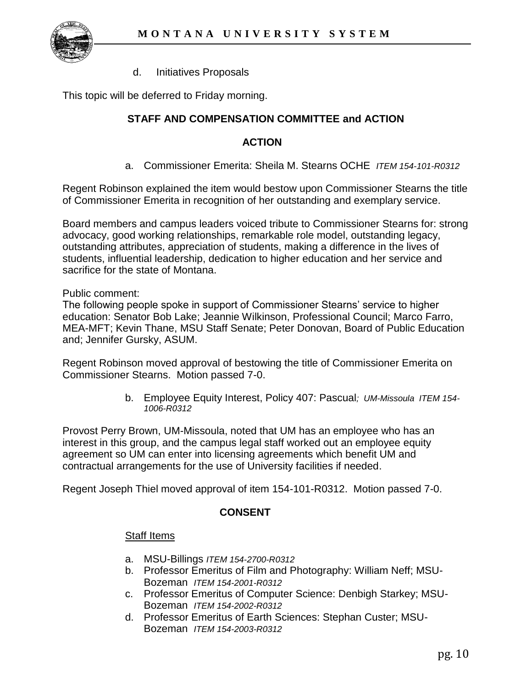

d. Initiatives Proposals

This topic will be deferred to Friday morning.

## **STAFF AND COMPENSATION COMMITTEE and ACTION**

#### **ACTION**

a. Commissioner Emerita: Sheila M. Stearns OCHE *ITEM 154-101-R0312*

Regent Robinson explained the item would bestow upon Commissioner Stearns the title of Commissioner Emerita in recognition of her outstanding and exemplary service.

Board members and campus leaders voiced tribute to Commissioner Stearns for: strong advocacy, good working relationships, remarkable role model, outstanding legacy, outstanding attributes, appreciation of students, making a difference in the lives of students, influential leadership, dedication to higher education and her service and sacrifice for the state of Montana.

Public comment:

The following people spoke in support of Commissioner Stearns' service to higher education: Senator Bob Lake; Jeannie Wilkinson, Professional Council; Marco Farro, MEA-MFT; Kevin Thane, MSU Staff Senate; Peter Donovan, Board of Public Education and; Jennifer Gursky, ASUM.

Regent Robinson moved approval of bestowing the title of Commissioner Emerita on Commissioner Stearns. Motion passed 7-0.

> b. Employee Equity Interest, Policy 407: Pascual*; UM-Missoula ITEM 154- 1006-R0312*

Provost Perry Brown, UM-Missoula, noted that UM has an employee who has an interest in this group, and the campus legal staff worked out an employee equity agreement so UM can enter into licensing agreements which benefit UM and contractual arrangements for the use of University facilities if needed.

Regent Joseph Thiel moved approval of item 154-101-R0312. Motion passed 7-0.

#### **CONSENT**

#### Staff Items

- a. MSU-Billings *ITEM 154-2700-R0312*
- b. Professor Emeritus of Film and Photography: William Neff; MSU-Bozeman *ITEM 154-2001-R0312*
- c. Professor Emeritus of Computer Science: Denbigh Starkey; MSU-Bozeman *ITEM 154-2002-R0312*
- d. Professor Emeritus of Earth Sciences: Stephan Custer; MSU-Bozeman *ITEM 154-2003-R0312*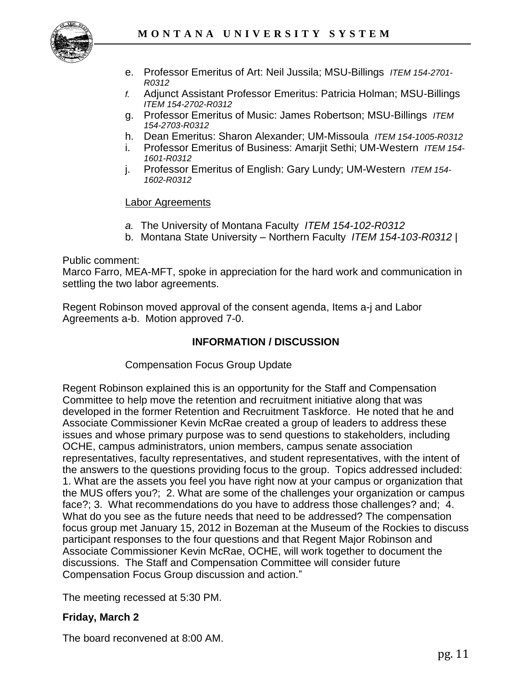

- e. Professor Emeritus of Art: Neil Jussila; MSU-Billings *ITEM 154-2701- R0312*
- *f.* Adjunct Assistant Professor Emeritus: Patricia Holman; MSU-Billings *ITEM 154-2702-R0312*
- g. Professor Emeritus of Music: James Robertson; MSU-Billings *ITEM 154-2703-R0312*
- h. Dean Emeritus: Sharon Alexander; UM-Missoula *ITEM 154-1005-R0312*
- i. Professor Emeritus of Business: Amarjit Sethi; UM-Western *ITEM 154- 1601-R0312*
- j. Professor Emeritus of English: Gary Lundy; UM-Western *ITEM 154- 1602-R0312*

#### Labor Agreements

- *a.* The University of Montana Faculty *ITEM 154-102-R0312*
- b. Montana State University Northern Faculty *ITEM 154-103-R0312 |*

Public comment:

Marco Farro, MEA-MFT, spoke in appreciation for the hard work and communication in settling the two labor agreements.

Regent Robinson moved approval of the consent agenda, Items a-j and Labor Agreements a-b. Motion approved 7-0.

#### **INFORMATION / DISCUSSION**

Compensation Focus Group Update

Regent Robinson explained this is an opportunity for the Staff and Compensation Committee to help move the retention and recruitment initiative along that was developed in the former Retention and Recruitment Taskforce. He noted that he and Associate Commissioner Kevin McRae created a group of leaders to address these issues and whose primary purpose was to send questions to stakeholders, including OCHE, campus administrators, union members, campus senate association representatives, faculty representatives, and student representatives, with the intent of the answers to the questions providing focus to the group. Topics addressed included: 1. What are the assets you feel you have right now at your campus or organization that the MUS offers you?; 2. What are some of the challenges your organization or campus face?; 3. What recommendations do you have to address those challenges? and; 4. What do you see as the future needs that need to be addressed? The compensation focus group met January 15, 2012 in Bozeman at the Museum of the Rockies to discuss participant responses to the four questions and that Regent Major Robinson and Associate Commissioner Kevin McRae, OCHE, will work together to document the discussions. The Staff and Compensation Committee will consider future Compensation Focus Group discussion and action."

The meeting recessed at 5:30 PM.

### **Friday, March 2**

The board reconvened at 8:00 AM.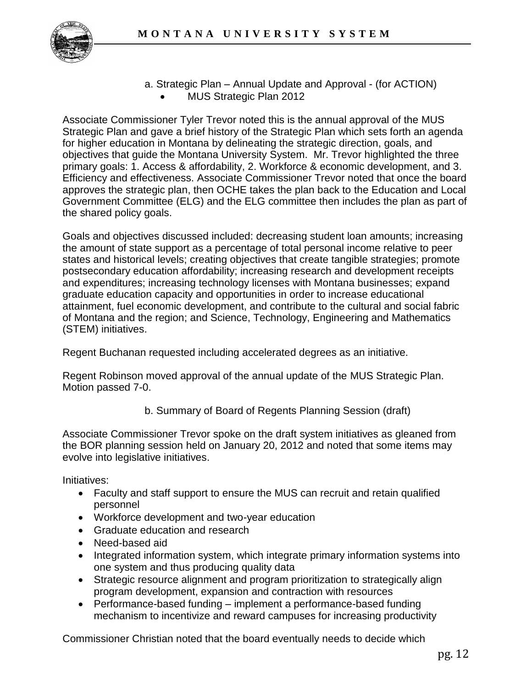

a. Strategic Plan – Annual Update and Approval - (for ACTION) MUS Strategic Plan 2012

Associate Commissioner Tyler Trevor noted this is the annual approval of the MUS Strategic Plan and gave a brief history of the Strategic Plan which sets forth an agenda for higher education in Montana by delineating the strategic direction, goals, and objectives that guide the Montana University System. Mr. Trevor highlighted the three primary goals: 1. Access & affordability, 2. Workforce & economic development, and 3. Efficiency and effectiveness. Associate Commissioner Trevor noted that once the board approves the strategic plan, then OCHE takes the plan back to the Education and Local Government Committee (ELG) and the ELG committee then includes the plan as part of the shared policy goals.

Goals and objectives discussed included: decreasing student loan amounts; increasing the amount of state support as a percentage of total personal income relative to peer states and historical levels; creating objectives that create tangible strategies; promote postsecondary education affordability; increasing research and development receipts and expenditures; increasing technology licenses with Montana businesses; expand graduate education capacity and opportunities in order to increase educational attainment, fuel economic development, and contribute to the cultural and social fabric of Montana and the region; and Science, Technology, Engineering and Mathematics (STEM) initiatives.

Regent Buchanan requested including accelerated degrees as an initiative.

Regent Robinson moved approval of the annual update of the MUS Strategic Plan. Motion passed 7-0.

b. Summary of Board of Regents Planning Session (draft)

Associate Commissioner Trevor spoke on the draft system initiatives as gleaned from the BOR planning session held on January 20, 2012 and noted that some items may evolve into legislative initiatives.

Initiatives:

- Faculty and staff support to ensure the MUS can recruit and retain qualified personnel
- Workforce development and two-year education
- Graduate education and research
- Need-based aid
- Integrated information system, which integrate primary information systems into one system and thus producing quality data
- Strategic resource alignment and program prioritization to strategically align program development, expansion and contraction with resources
- Performance-based funding implement a performance-based funding mechanism to incentivize and reward campuses for increasing productivity

Commissioner Christian noted that the board eventually needs to decide which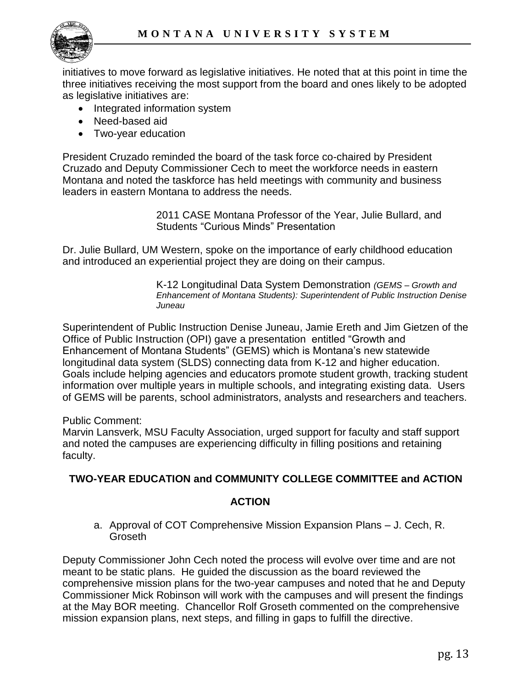

initiatives to move forward as legislative initiatives. He noted that at this point in time the three initiatives receiving the most support from the board and ones likely to be adopted as legislative initiatives are:

- Integrated information system
- Need-based aid
- Two-year education

President Cruzado reminded the board of the task force co-chaired by President Cruzado and Deputy Commissioner Cech to meet the workforce needs in eastern Montana and noted the taskforce has held meetings with community and business leaders in eastern Montana to address the needs.

> 2011 CASE Montana Professor of the Year, Julie Bullard, and Students "Curious Minds" Presentation

Dr. Julie Bullard, UM Western, spoke on the importance of early childhood education and introduced an experiential project they are doing on their campus.

> K-12 Longitudinal Data System Demonstration *(GEMS – Growth and Enhancement of Montana Students): Superintendent of Public Instruction Denise Juneau*

Superintendent of Public Instruction Denise Juneau, Jamie Ereth and Jim Gietzen of the Office of Public Instruction (OPI) gave a presentation entitled "Growth and Enhancement of Montana Students" (GEMS) which is Montana's new statewide longitudinal data system (SLDS) connecting data from K-12 and higher education. Goals include helping agencies and educators promote student growth, tracking student information over multiple years in multiple schools, and integrating existing data. Users of GEMS will be parents, school administrators, analysts and researchers and teachers.

Public Comment:

Marvin Lansverk, MSU Faculty Association, urged support for faculty and staff support and noted the campuses are experiencing difficulty in filling positions and retaining faculty.

## **TWO-YEAR EDUCATION and COMMUNITY COLLEGE COMMITTEE and ACTION**

### **ACTION**

a. Approval of COT Comprehensive Mission Expansion Plans – J. Cech, R. Groseth

Deputy Commissioner John Cech noted the process will evolve over time and are not meant to be static plans. He guided the discussion as the board reviewed the comprehensive mission plans for the two-year campuses and noted that he and Deputy Commissioner Mick Robinson will work with the campuses and will present the findings at the May BOR meeting. Chancellor Rolf Groseth commented on the comprehensive mission expansion plans, next steps, and filling in gaps to fulfill the directive.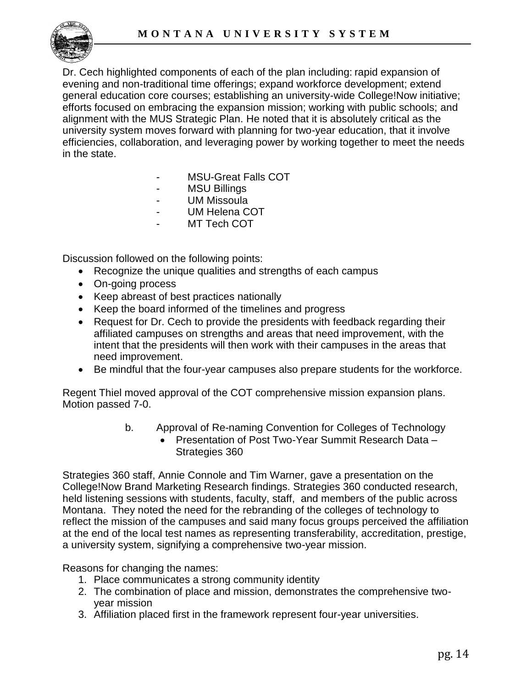

Dr. Cech highlighted components of each of the plan including: rapid expansion of evening and non-traditional time offerings; expand workforce development; extend general education core courses; establishing an university-wide College!Now initiative; efforts focused on embracing the expansion mission; working with public schools; and alignment with the MUS Strategic Plan. He noted that it is absolutely critical as the university system moves forward with planning for two-year education, that it involve efficiencies, collaboration, and leveraging power by working together to meet the needs in the state.

- MSU-Great Falls COT
- MSU Billings
- UM Missoula
- UM Helena COT
- MT Tech COT

Discussion followed on the following points:

- Recognize the unique qualities and strengths of each campus
- On-going process
- Keep abreast of best practices nationally
- Keep the board informed of the timelines and progress
- Request for Dr. Cech to provide the presidents with feedback regarding their affiliated campuses on strengths and areas that need improvement, with the intent that the presidents will then work with their campuses in the areas that need improvement.
- Be mindful that the four-year campuses also prepare students for the workforce.

Regent Thiel moved approval of the COT comprehensive mission expansion plans. Motion passed 7-0.

- b. Approval of Re-naming Convention for Colleges of Technology
	- Presentation of Post Two-Year Summit Research Data -Strategies 360

Strategies 360 staff, Annie Connole and Tim Warner, gave a presentation on the College!Now Brand Marketing Research findings. Strategies 360 conducted research, held listening sessions with students, faculty, staff, and members of the public across Montana. They noted the need for the rebranding of the colleges of technology to reflect the mission of the campuses and said many focus groups perceived the affiliation at the end of the local test names as representing transferability, accreditation, prestige, a university system, signifying a comprehensive two-year mission.

Reasons for changing the names:

- 1. Place communicates a strong community identity
- 2. The combination of place and mission, demonstrates the comprehensive twoyear mission
- 3. Affiliation placed first in the framework represent four-year universities.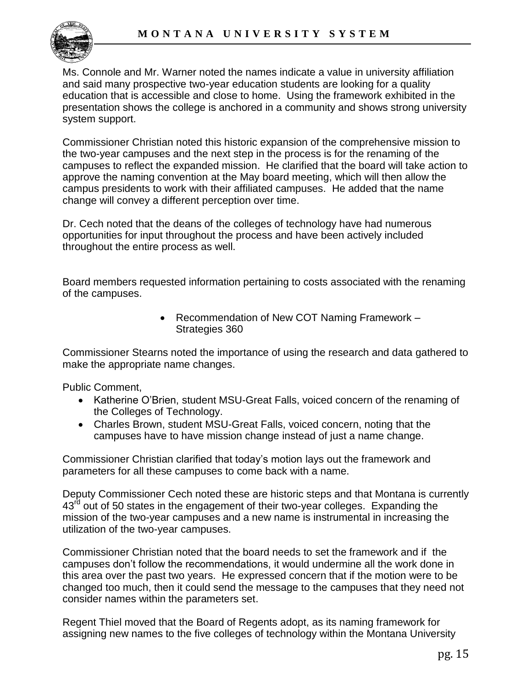

Ms. Connole and Mr. Warner noted the names indicate a value in university affiliation and said many prospective two-year education students are looking for a quality education that is accessible and close to home. Using the framework exhibited in the presentation shows the college is anchored in a community and shows strong university system support.

Commissioner Christian noted this historic expansion of the comprehensive mission to the two-year campuses and the next step in the process is for the renaming of the campuses to reflect the expanded mission. He clarified that the board will take action to approve the naming convention at the May board meeting, which will then allow the campus presidents to work with their affiliated campuses. He added that the name change will convey a different perception over time.

Dr. Cech noted that the deans of the colleges of technology have had numerous opportunities for input throughout the process and have been actively included throughout the entire process as well.

Board members requested information pertaining to costs associated with the renaming of the campuses.

> • Recommendation of New COT Naming Framework -Strategies 360

Commissioner Stearns noted the importance of using the research and data gathered to make the appropriate name changes.

Public Comment,

- Katherine O'Brien, student MSU-Great Falls, voiced concern of the renaming of the Colleges of Technology.
- Charles Brown, student MSU-Great Falls, voiced concern, noting that the campuses have to have mission change instead of just a name change.

Commissioner Christian clarified that today's motion lays out the framework and parameters for all these campuses to come back with a name.

Deputy Commissioner Cech noted these are historic steps and that Montana is currently  $43<sup>rd</sup>$  out of 50 states in the engagement of their two-year colleges. Expanding the mission of the two-year campuses and a new name is instrumental in increasing the utilization of the two-year campuses.

Commissioner Christian noted that the board needs to set the framework and if the campuses don't follow the recommendations, it would undermine all the work done in this area over the past two years. He expressed concern that if the motion were to be changed too much, then it could send the message to the campuses that they need not consider names within the parameters set.

Regent Thiel moved that the Board of Regents adopt, as its naming framework for assigning new names to the five colleges of technology within the Montana University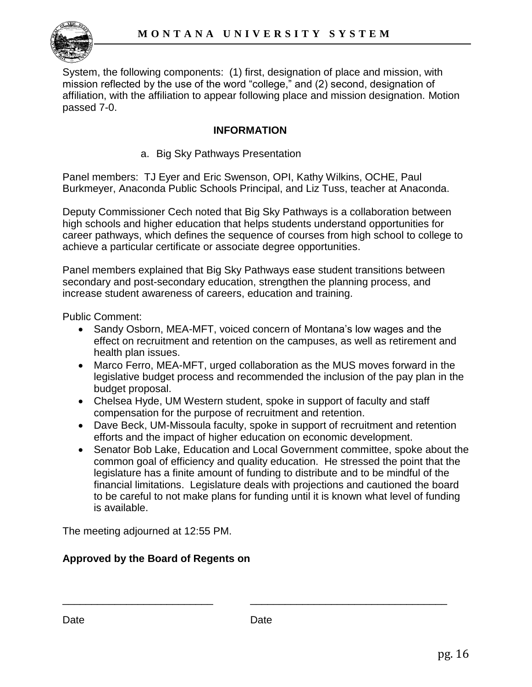

System, the following components: (1) first, designation of place and mission, with mission reflected by the use of the word "college," and (2) second, designation of affiliation, with the affiliation to appear following place and mission designation. Motion passed 7-0.

## **INFORMATION**

a. Big Sky Pathways Presentation

Panel members: TJ Eyer and Eric Swenson, OPI, Kathy Wilkins, OCHE, Paul Burkmeyer, Anaconda Public Schools Principal, and Liz Tuss, teacher at Anaconda.

Deputy Commissioner Cech noted that Big Sky Pathways is a collaboration between high schools and higher education that helps students understand opportunities for career pathways, which defines the sequence of courses from high school to college to achieve a particular certificate or associate degree opportunities.

Panel members explained that Big Sky Pathways ease student transitions between secondary and post-secondary education, strengthen the planning process, and increase student awareness of careers, education and training.

Public Comment:

- Sandy Osborn, MEA-MFT, voiced concern of Montana's low wages and the effect on recruitment and retention on the campuses, as well as retirement and health plan issues.
- Marco Ferro, MEA-MFT, urged collaboration as the MUS moves forward in the legislative budget process and recommended the inclusion of the pay plan in the budget proposal.
- Chelsea Hyde, UM Western student, spoke in support of faculty and staff compensation for the purpose of recruitment and retention.
- Dave Beck, UM-Missoula faculty, spoke in support of recruitment and retention efforts and the impact of higher education on economic development.
- Senator Bob Lake, Education and Local Government committee, spoke about the common goal of efficiency and quality education. He stressed the point that the legislature has a finite amount of funding to distribute and to be mindful of the financial limitations. Legislature deals with projections and cautioned the board to be careful to not make plans for funding until it is known what level of funding is available.

The meeting adjourned at 12:55 PM.

## **Approved by the Board of Regents on**

\_\_\_\_\_\_\_\_\_\_\_\_\_\_\_\_\_\_\_\_\_\_\_\_\_\_ \_\_\_\_\_\_\_\_\_\_\_\_\_\_\_\_\_\_\_\_\_\_\_\_\_\_\_\_\_\_\_\_\_\_